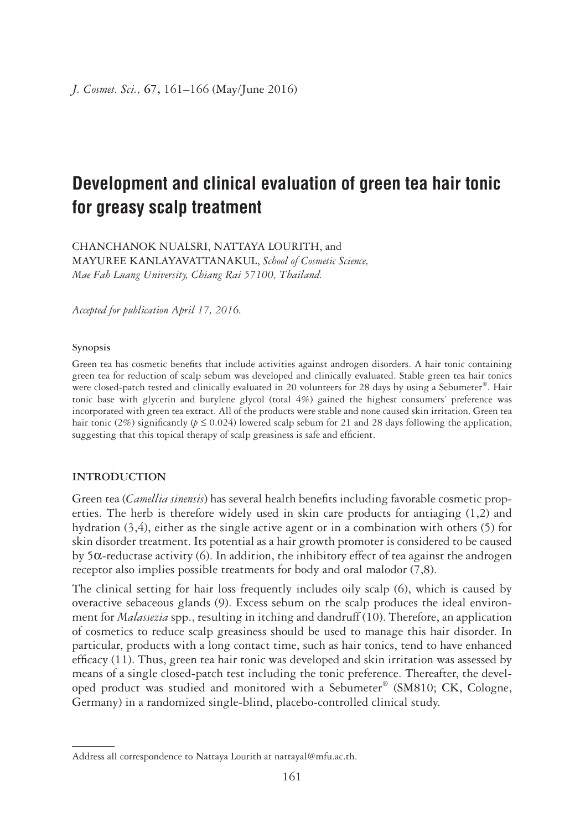# **Development and clinical evaluation of green tea hair tonic for greasy scalp treatment**

CHANCHANOK NUALSRI, NATTAYA LOURITH, and MAYUREE KANLAYAVATTANAKUL, *School of Cosmetic Science, Mae Fah Luang University, Chiang Rai 57100, Thailand.*

*Accepted for publication April 17, 2016.*

#### **Synopsis**

Green tea has cosmetic benefits that include activities against androgen disorders. A hair tonic containing green tea for reduction of scalp sebum was developed and clinically evaluated. Stable green tea hair tonics were closed-patch tested and clinically evaluated in 20 volunteers for 28 days by using a Sebumeter®. Hair tonic base with glycerin and butylene glycol (total 4%) gained the highest consumers' preference was incorporated with green tea extract. All of the products were stable and none caused skin irritation. Green tea hair tonic (2%) significantly ( $p \le 0.024$ ) lowered scalp sebum for 21 and 28 days following the application, suggesting that this topical therapy of scalp greasiness is safe and efficient.

# **INTRODUCTION**

Green tea (*Camellia sinensis*) has several health benefits including favorable cosmetic properties. The herb is therefore widely used in skin care products for antiaging (1,2) and hydration (3,4), either as the single active agent or in a combination with others (5) for skin disorder treatment. Its potential as a hair growth promoter is considered to be caused by 5α-reductase activity (6). In addition, the inhibitory effect of tea against the androgen receptor also implies possible treatments for body and oral malodor (7,8).

The clinical setting for hair loss frequently includes oily scalp (6), which is caused by overactive sebaceous glands (9). Excess sebum on the scalp produces the ideal environment for *Malassezia* spp., resulting in itching and dandruff (10). Therefore, an application of cosmetics to reduce scalp greasiness should be used to manage this hair disorder. In particular, products with a long contact time, such as hair tonics, tend to have enhanced efficacy (11). Thus, green tea hair tonic was developed and skin irritation was assessed by means of a single closed-patch test including the tonic preference. Thereafter, the developed product was studied and monitored with a Sebumeter® (SM810; CK, Cologne, Germany) in a randomized single-blind, placebo-controlled clinical study.

Address all correspondence to Nattaya Lourith at nattayal@mfu.ac.th.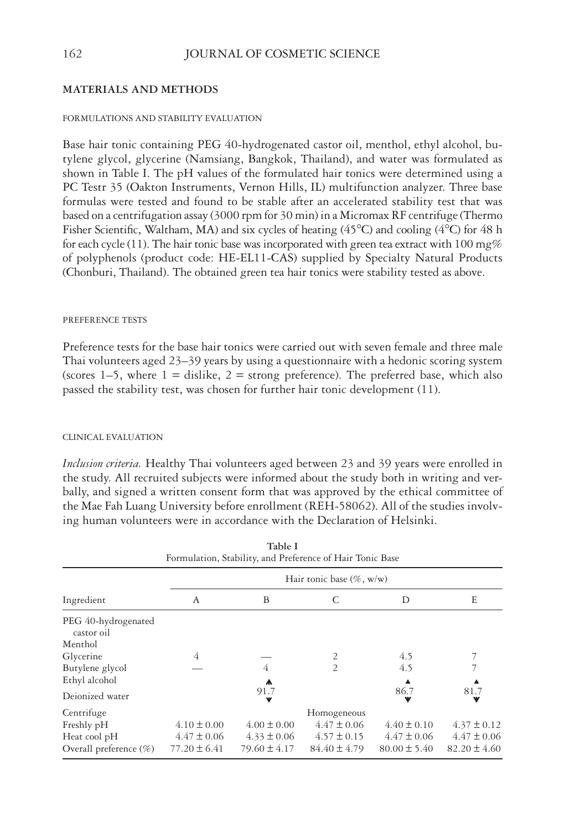# 162 JOURNAL OF COSMETIC SCIENCE

# **MATERIALS AND METHODS**

## FORMULATIONS AND STABILITY EVALUATION

Base hair tonic containing PEG 40-hydrogenated castor oil, menthol, ethyl alcohol, butylene glycol, glycerine (Namsiang, Bangkok, Thailand), and water was formulated as shown in Table I. The pH values of the formulated hair tonics were determined using a PC Testr 35 (Oakton Instruments, Vernon Hills, IL) multifunction analyzer. Three base formulas were tested and found to be stable after an accelerated stability test that was based on a centrifugation assay (3000 rpm for 30 min) in a Micromax RF centrifuge (Thermo Fisher Scientific, Waltham, MA) and six cycles of heating  $(45^{\circ}C)$  and cooling  $(4^{\circ}C)$  for 48 h for each cycle (11). The hair tonic base was incorporated with green tea extract with 100 mg% of polyphenols (product code: HE-EL11-CAS) supplied by Specialty Natural Products (Chonburi, Thailand). The obtained green tea hair tonics were stability tested as above.

#### PREFERENCE TESTS

Preference tests for the base hair tonics were carried out with seven female and three male Thai volunteers aged 23–39 years by using a questionnaire with a hedonic scoring system (scores 1–5, where  $1 =$  dislike,  $2 =$  strong preference). The preferred base, which also passed the stability test, was chosen for further hair tonic development (11).

## CLINICAL EVALUATION

*Inclusion criteria.* Healthy Thai volunteers aged between 23 and 39 years were enrolled in the study. All recruited subjects were informed about the study both in writing and verbally, and signed a written consent form that was approved by the ethical committee of the Mae Fah Luang University before enrollment (REH-58062). All of the studies involving human volunteers were in accordance with the Declaration of Helsinki.

| Table I<br>Formulation, Stability, and Preference of Hair Tonic Base |                              |                  |                  |                  |                  |  |  |  |
|----------------------------------------------------------------------|------------------------------|------------------|------------------|------------------|------------------|--|--|--|
| Ingredient                                                           | Hair tonic base $(\% , w/w)$ |                  |                  |                  |                  |  |  |  |
|                                                                      | A                            | B                | C                | D                | E                |  |  |  |
| PEG 40-hydrogenated<br>castor oil                                    |                              |                  |                  |                  |                  |  |  |  |
| Menthol                                                              |                              |                  |                  |                  |                  |  |  |  |
| Glycerine                                                            | 4                            |                  | $\overline{2}$   | 4.5              |                  |  |  |  |
| Butylene glycol                                                      |                              | 4                | $\overline{2}$   | 4.5              |                  |  |  |  |
| Ethyl alcohol                                                        |                              | A                |                  |                  |                  |  |  |  |
| Deionized water                                                      |                              | 91.7             |                  | 86.7             | 81.7             |  |  |  |
| Centrifuge                                                           |                              |                  | Homogeneous      |                  |                  |  |  |  |
| Freshly pH                                                           | $4.10 \pm 0.00$              | $4.00 \pm 0.00$  | $4.47 \pm 0.06$  | $4.40 \pm 0.10$  | $4.37 \pm 0.12$  |  |  |  |
| Heat cool pH                                                         | $4.47 \pm 0.06$              | $4.33 \pm 0.06$  | $4.57 \pm 0.15$  | $4.47 \pm 0.06$  | $4.47 \pm 0.06$  |  |  |  |
| Overall preference $(\%)$                                            | $77.20 \pm 6.41$             | $79.60 \pm 4.17$ | $84.40 \pm 4.79$ | $80.00 \pm 5.40$ | $82.20 \pm 4.60$ |  |  |  |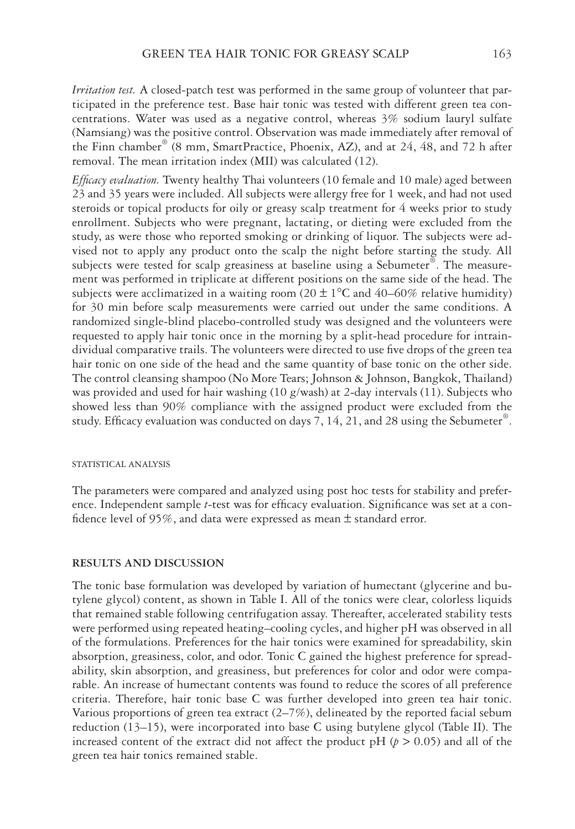*Irritation test.* A closed-patch test was performed in the same group of volunteer that participated in the preference test. Base hair tonic was tested with different green tea concentrations. Water was used as a negative control, whereas 3% sodium lauryl sulfate (Namsiang) was the positive control. Observation was made immediately after removal of the Finn chamber<sup>®</sup> (8 mm, SmartPractice, Phoenix, AZ), and at 24, 48, and 72 h after removal. The mean irritation index (MII) was calculated (12).

Efficacy evaluation. Twenty healthy Thai volunteers (10 female and 10 male) aged between 23 and 35 years were included. All subjects were allergy free for 1 week, and had not used steroids or topical products for oily or greasy scalp treatment for 4 weeks prior to study enrollment. Subjects who were pregnant, lactating, or dieting were excluded from the study, as were those who reported smoking or drinking of liquor. The subjects were advised not to apply any product onto the scalp the night before starting the study. All subjects were tested for scalp greasiness at baseline using a Sebumeter<sup>®</sup>. The measurement was performed in triplicate at different positions on the same side of the head. The subjects were acclimatized in a waiting room (20  $\pm$  1<sup>o</sup>C and 40–60% relative humidity) for 30 min before scalp measurements were carried out under the same conditions. A randomized single-blind placebo-controlled study was designed and the volunteers were requested to apply hair tonic once in the morning by a split-head procedure for intraindividual comparative trails. The volunteers were directed to use five drops of the green tea hair tonic on one side of the head and the same quantity of base tonic on the other side. The control cleansing shampoo (No More Tears; Johnson & Johnson, Bangkok, Thailand) was provided and used for hair washing (10 g/wash) at 2-day intervals (11). Subjects who showed less than 90% compliance with the assigned product were excluded from the study. Efficacy evaluation was conducted on days 7, 14, 21, and 28 using the Sebumeter<sup>®</sup>.

# STATISTICAL ANALYSIS

The parameters were compared and analyzed using post hoc tests for stability and preference. Independent sample *t*-test was for efficacy evaluation. Significance was set at a confidence level of 95%, and data were expressed as mean  $\pm$  standard error.

## **RESULTS AND DISCUSSION**

The tonic base formulation was developed by variation of humectant (glycerine and butylene glycol) content, as shown in Table I. All of the tonics were clear, colorless liquids that remained stable following centrifugation assay. Thereafter, accelerated stability tests were performed using repeated heating–cooling cycles, and higher pH was observed in all of the formulations. Preferences for the hair tonics were examined for spreadability, skin absorption, greasiness, color, and odor. Tonic C gained the highest preference for spreadability, skin absorption, and greasiness, but preferences for color and odor were comparable. An increase of humectant contents was found to reduce the scores of all preference criteria. Therefore, hair tonic base C was further developed into green tea hair tonic. Various proportions of green tea extract  $(2-7%)$ , delineated by the reported facial sebum reduction (13–15), were incorporated into base C using butylene glycol (Table II). The increased content of the extract did not affect the product pH  $(p > 0.05)$  and all of the green tea hair tonics remained stable.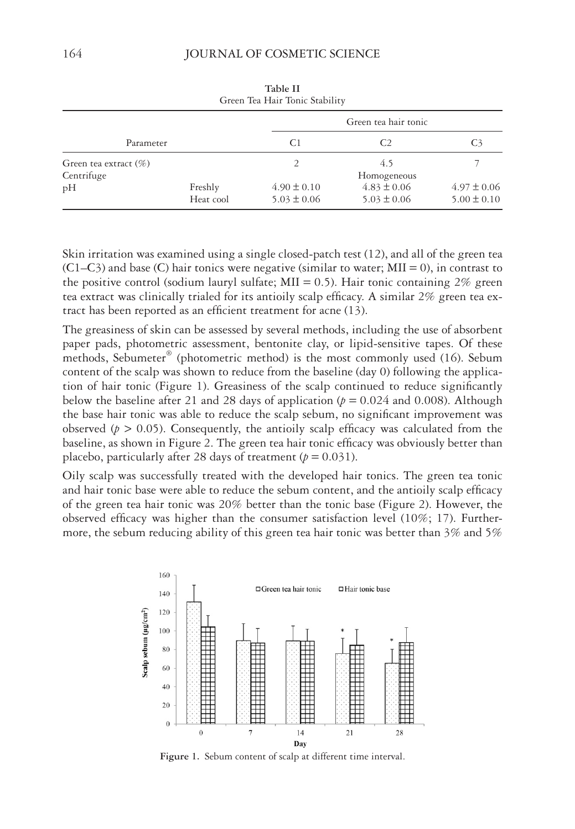| Green Tea Hair Tonic Stability         |                      |                                    |                                    |                                    |  |  |  |
|----------------------------------------|----------------------|------------------------------------|------------------------------------|------------------------------------|--|--|--|
|                                        |                      |                                    | Green tea hair tonic               |                                    |  |  |  |
| Parameter                              |                      | C1                                 |                                    | C3                                 |  |  |  |
| Green tea extract $(\%)$<br>Centrifuge |                      | 2                                  | 4.5<br>Homogeneous                 |                                    |  |  |  |
| pH                                     | Freshly<br>Heat cool | $4.90 \pm 0.10$<br>$5.03 \pm 0.06$ | $4.83 \pm 0.06$<br>$5.03 \pm 0.06$ | $4.97 \pm 0.06$<br>$5.00 \pm 0.10$ |  |  |  |

**Table II**

Skin irritation was examined using a single closed-patch test (12), and all of the green tea  $(C1–C3)$  and base (C) hair tonics were negative (similar to water; MII = 0), in contrast to the positive control (sodium lauryl sulfate;  $MII = 0.5$ ). Hair tonic containing 2% green tea extract was clinically trialed for its antioily scalp efficacy. A similar 2% green tea extract has been reported as an efficient treatment for acne  $(13)$ .

The greasiness of skin can be assessed by several methods, including the use of absorbent paper pads, photometric assessment, bentonite clay, or lipid-sensitive tapes. Of these methods, Sebumeter<sup>®</sup> (photometric method) is the most commonly used (16). Sebum content of the scalp was shown to reduce from the baseline (day 0) following the application of hair tonic (Figure 1). Greasiness of the scalp continued to reduce significantly below the baseline after 21 and 28 days of application  $(p = 0.024$  and 0.008). Although the base hair tonic was able to reduce the scalp sebum, no significant improvement was observed ( $p > 0.05$ ). Consequently, the antioily scalp efficacy was calculated from the baseline, as shown in Figure 2. The green tea hair tonic efficacy was obviously better than placebo, particularly after 28 days of treatment  $(p = 0.031)$ .

Oily scalp was successfully treated with the developed hair tonics. The green tea tonic and hair tonic base were able to reduce the sebum content, and the antioily scalp efficacy of the green tea hair tonic was 20% better than the tonic base (Figure 2). However, the observed efficacy was higher than the consumer satisfaction level  $(10\%; 17)$ . Furthermore, the sebum reducing ability of this green tea hair tonic was better than 3% and 5%



**Figure 1.** Sebum content of scalp at different time interval.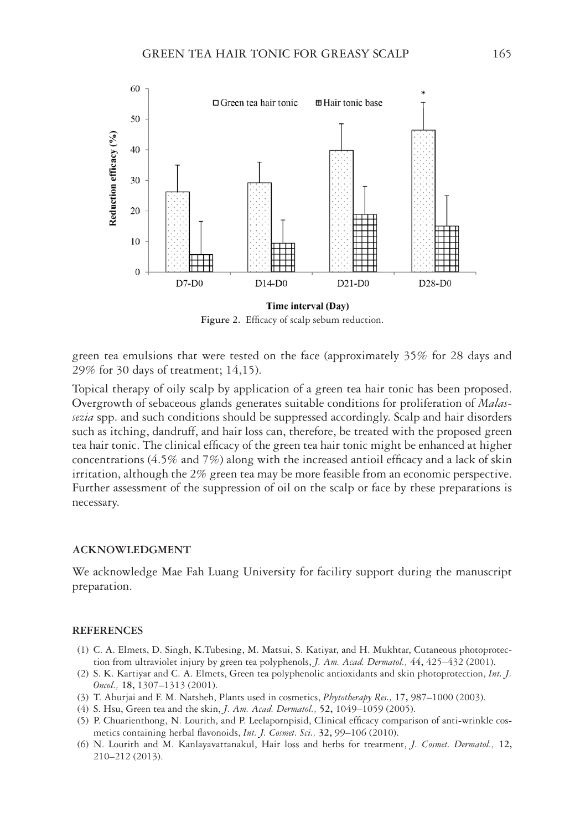

Figure 2. Efficacy of scalp sebum reduction.

green tea emulsions that were tested on the face (approximately 35% for 28 days and 29% for 30 days of treatment; 14,15).

Topical therapy of oily scalp by application of a green tea hair tonic has been proposed. Overgrowth of sebaceous glands generates suitable conditions for proliferation of *Malassezia* spp. and such conditions should be suppressed accordingly. Scalp and hair disorders such as itching, dandruff, and hair loss can, therefore, be treated with the proposed green tea hair tonic. The clinical efficacy of the green tea hair tonic might be enhanced at higher concentrations (4.5% and 7%) along with the increased antioil efficacy and a lack of skin irritation, although the 2% green tea may be more feasible from an economic perspective. Further assessment of the suppression of oil on the scalp or face by these preparations is necessary.

# **ACKNOWLEDGMENT**

We acknowledge Mae Fah Luang University for facility support during the manuscript preparation.

## **REFERENCES**

- (1) C. A. Elmets, D. Singh, K.Tubesing, M. Matsui, S. Katiyar, and H. Mukhtar, Cutaneous photoprotection from ultraviolet injury by green tea polyphenols, *J. Am. Acad. Dermatol.,* **44,** 425–432 (2001).
- (2) S. K. Kartiyar and C. A. Elmets, Green tea polyphenolic antioxidants and skin photoprotection, *Int. J. Oncol.,* **18,** 1307–1313 (2001).
- (3) T. Aburjai and F. M. Natsheh, Plants used in cosmetics, *Phytotherapy Res.,* **17,** 987–1000 (2003).
- (4) S. Hsu, Green tea and the skin, *J. Am. Acad. Dermatol.,* **52,** 1049–1059 (2005).
- (5) P. Chuarienthong, N. Lourith, and P. Leelapornpisid, Clinical efficacy comparison of anti-wrinkle cosmetics containing herbal flavonoids, Int. J. Cosmet. Sci., 32, 99-106 (2010).
- (6) N. Lourith and M. Kanlayavattanakul, Hair loss and herbs for treatment, *J. Cosmet. Dermatol.,* **12,** 210–212 (2013).